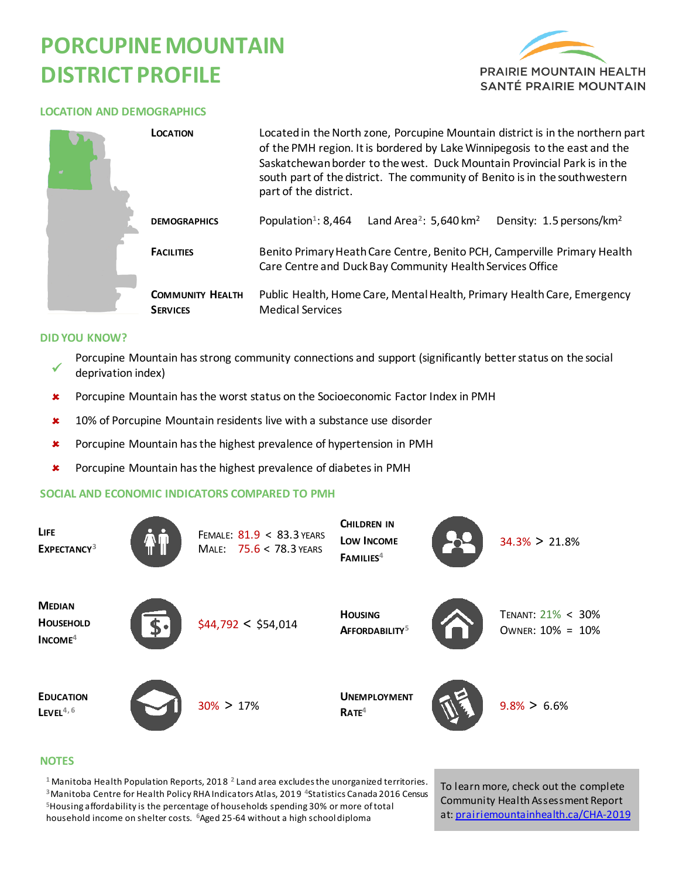# **PORCUPINE MOUNTAIN DISTRICT PROFILE**



#### **LOCATION AND DEMOGRAPHICS**

| LOCATION                                   | Located in the North zone, Porcupine Mountain district is in the northern part<br>of the PMH region. It is bordered by Lake Winnipegosis to the east and the<br>Saskatchewan border to the west. Duck Mountain Provincial Park is in the<br>south part of the district. The community of Benito is in the southwestern<br>part of the district. |                                      |  |  |
|--------------------------------------------|-------------------------------------------------------------------------------------------------------------------------------------------------------------------------------------------------------------------------------------------------------------------------------------------------------------------------------------------------|--------------------------------------|--|--|
| <b>DEMOGRAPHICS</b>                        | Population <sup>1</sup> : 8,464<br>Land Area <sup>2</sup> : 5,640 km <sup>2</sup>                                                                                                                                                                                                                                                               | Density: 1.5 persons/km <sup>2</sup> |  |  |
| <b>FACILITIES</b>                          | Benito Primary Heath Care Centre, Benito PCH, Camperville Primary Health<br>Care Centre and Duck Bay Community Health Services Office                                                                                                                                                                                                           |                                      |  |  |
| <b>COMMUNITY HEALTH</b><br><b>SERVICES</b> | Public Health, Home Care, Mental Health, Primary Health Care, Emergency<br><b>Medical Services</b>                                                                                                                                                                                                                                              |                                      |  |  |

#### **DID YOU KNOW?**

- $\checkmark$ Porcupine Mountain has strong community connections and support (significantly better status on the social deprivation index)
- \* Porcupine Mountain has the worst status on the Socioeconomic Factor Index in PMH
- **\*** 10% of Porcupine Mountain residents live with a substance use disorder
- **\*** Porcupine Mountain has the highest prevalence of hypertension in PMH
- **\*** Porcupine Mountain has the highest prevalence of diabetes in PMH

### **SOCIAL AND ECONOMIC INDICATORS COMPARED TO PMH**



#### **NOTES**

 Manitoba Health Population Reports, 2018 **<sup>2</sup>**Land area excludes the unorganized territories. Manitoba Centre for Health Policy RHA Indicators Atlas, 2019 **<sup>4</sup>**Statistics Canada 2016 Census Housing affordability is the percentage of households spending 30% or more of total household income on shelter costs. **<sup>6</sup>**Aged 25-64 without a high school diploma

To learn more, check out the complete Community Health Assessment Report at[: prairiemountainhealth.ca/CHA-2019](https://prairiemountainhealth.ca/CHA-2019)